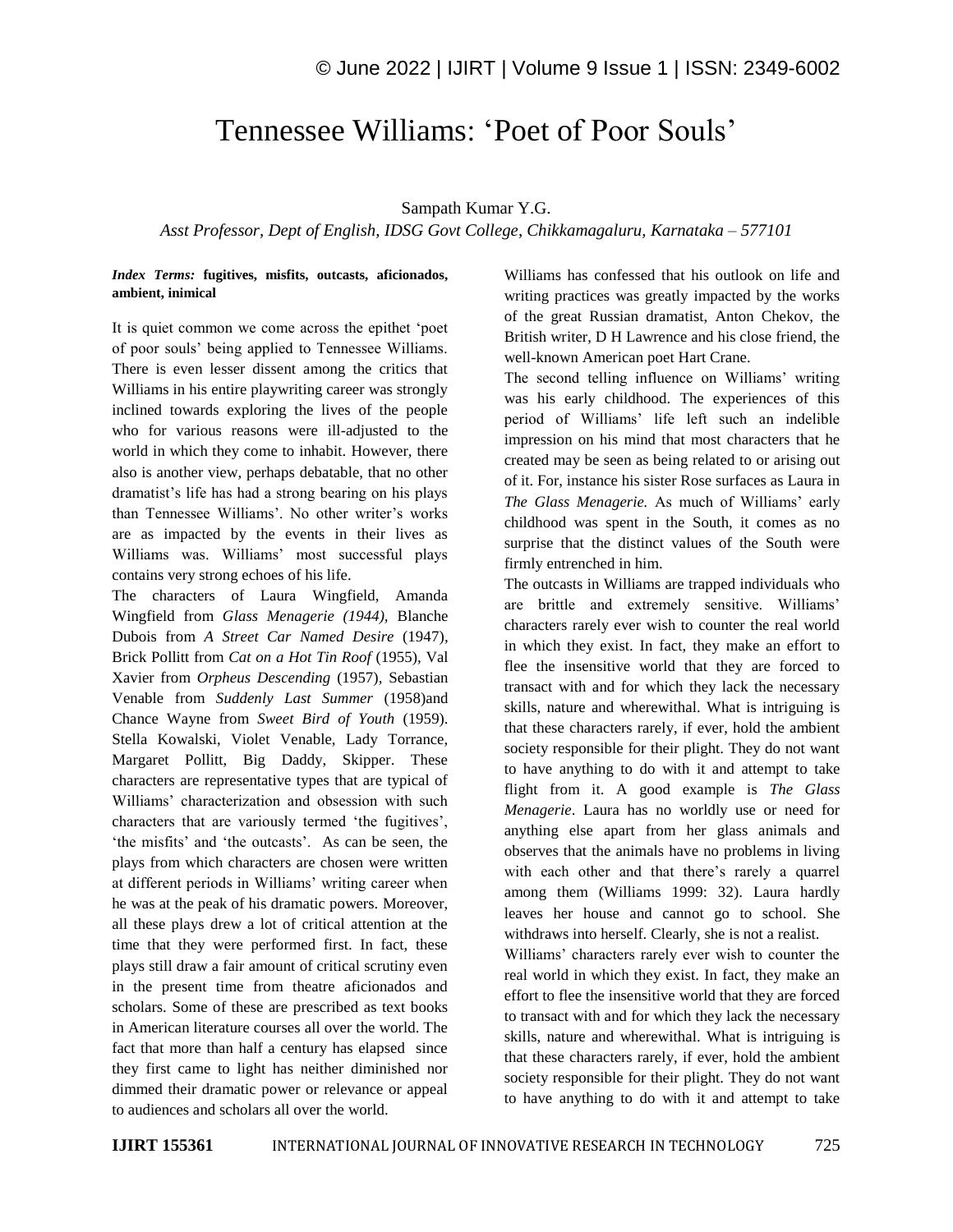## Tennessee Williams: 'Poet of Poor Souls'

## Sampath Kumar Y.G.

*Asst Professor, Dept of English, IDSG Govt College, Chikkamagaluru, Karnataka – 577101*

## *Index Terms:* **fugitives, misfits, outcasts, aficionados, ambient, inimical**

It is quiet common we come across the epithet 'poet of poor souls' being applied to Tennessee Williams. There is even lesser dissent among the critics that Williams in his entire playwriting career was strongly inclined towards exploring the lives of the people who for various reasons were ill-adjusted to the world in which they come to inhabit. However, there also is another view, perhaps debatable, that no other dramatist's life has had a strong bearing on his plays than Tennessee Williams'. No other writer's works are as impacted by the events in their lives as Williams was. Williams' most successful plays contains very strong echoes of his life.

The characters of Laura Wingfield, Amanda Wingfield from *Glass Menagerie (1944),* Blanche Dubois from *A Street Car Named Desire* (1947)*,*  Brick Pollitt from *Cat on a Hot Tin Roof* (1955)*,* Val Xavier from *Orpheus Descending* (1957)*,* Sebastian Venable from *Suddenly Last Summer* (1958)and Chance Wayne from *Sweet Bird of Youth* (1959). Stella Kowalski, Violet Venable, Lady Torrance, Margaret Pollitt, Big Daddy, Skipper. These characters are representative types that are typical of Williams' characterization and obsession with such characters that are variously termed 'the fugitives', 'the misfits' and 'the outcasts'. As can be seen, the plays from which characters are chosen were written at different periods in Williams' writing career when he was at the peak of his dramatic powers. Moreover, all these plays drew a lot of critical attention at the time that they were performed first. In fact, these plays still draw a fair amount of critical scrutiny even in the present time from theatre aficionados and scholars. Some of these are prescribed as text books in American literature courses all over the world. The fact that more than half a century has elapsed since they first came to light has neither diminished nor dimmed their dramatic power or relevance or appeal to audiences and scholars all over the world.

Williams has confessed that his outlook on life and writing practices was greatly impacted by the works of the great Russian dramatist, Anton Chekov, the British writer, D H Lawrence and his close friend, the well-known American poet Hart Crane.

The second telling influence on Williams' writing was his early childhood. The experiences of this period of Williams' life left such an indelible impression on his mind that most characters that he created may be seen as being related to or arising out of it. For, instance his sister Rose surfaces as Laura in *The Glass Menagerie.* As much of Williams' early childhood was spent in the South, it comes as no surprise that the distinct values of the South were firmly entrenched in him.

The outcasts in Williams are trapped individuals who are brittle and extremely sensitive. Williams' characters rarely ever wish to counter the real world in which they exist. In fact, they make an effort to flee the insensitive world that they are forced to transact with and for which they lack the necessary skills, nature and wherewithal. What is intriguing is that these characters rarely, if ever, hold the ambient society responsible for their plight. They do not want to have anything to do with it and attempt to take flight from it. A good example is *The Glass Menagerie*. Laura has no worldly use or need for anything else apart from her glass animals and observes that the animals have no problems in living with each other and that there's rarely a quarrel among them (Williams 1999: 32). Laura hardly leaves her house and cannot go to school. She withdraws into herself. Clearly, she is not a realist.

Williams' characters rarely ever wish to counter the real world in which they exist. In fact, they make an effort to flee the insensitive world that they are forced to transact with and for which they lack the necessary skills, nature and wherewithal. What is intriguing is that these characters rarely, if ever, hold the ambient society responsible for their plight. They do not want to have anything to do with it and attempt to take